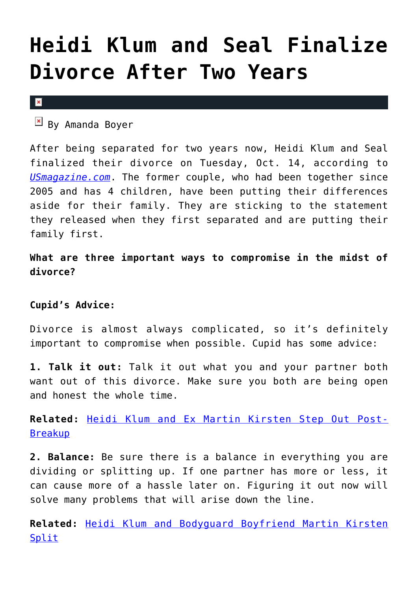## **[Heidi Klum and Seal Finalize](https://cupidspulse.com/81918/heidi-klum-seal-divorce/) [Divorce After Two Years](https://cupidspulse.com/81918/heidi-klum-seal-divorce/)**

 $\vert \mathbf{x} \vert$ 

 $By$  Amanda Boyer

After being separated for two years now, Heidi Klum and Seal finalized their divorce on Tuesday, Oct. 14, according to *[USmagazine.com](http://www.usmagazine.com/celebrity-news/news/heidi-klum-seal-divorce-finalized-two-years-split-20141510)*. The former couple, who had been together since 2005 and has 4 children, have been putting their differences aside for their family. They are sticking to the statement they released when they first separated and are putting their family first.

**What are three important ways to compromise in the midst of divorce?**

## **Cupid's Advice:**

Divorce is almost always complicated, so it's definitely important to compromise when possible. Cupid has some advice:

**1. Talk it out:** Talk it out what you and your partner both want out of this divorce. Make sure you both are being open and honest the whole time.

**Related:** [Heidi Klum and Ex Martin Kirsten Step Out Post-](http://cupidspulse.com/69352/heidi-klum-and-ex-martin-kirsten-step-out-post-breakup/#f1CYgJRKD1ukreqO.99)[Breakup](http://cupidspulse.com/69352/heidi-klum-and-ex-martin-kirsten-step-out-post-breakup/#f1CYgJRKD1ukreqO.99)

**2. Balance:** Be sure there is a balance in everything you are dividing or splitting up. If one partner has more or less, it can cause more of a hassle later on. Figuring it out now will solve many problems that will arise down the line.

**Related:** [Heidi Klum and Bodyguard Boyfriend Martin Kirsten](http://cupidspulse.com/68716/heidi-klum-martin-kirsten-split/#GIsGXy74vP7uAMwl.99) [Split](http://cupidspulse.com/68716/heidi-klum-martin-kirsten-split/#GIsGXy74vP7uAMwl.99)